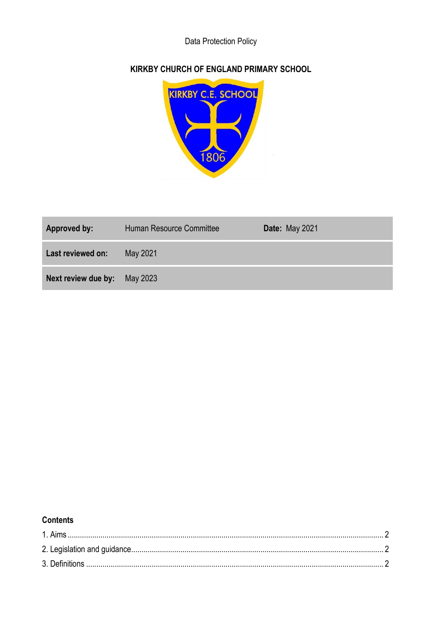# Data Protection Policy

## **KIRKBY CHURCH OF ENGLAND PRIMARY SCHOOL**



| Approved by:        | Human Resource Committee | <b>Date: May 2021</b> |
|---------------------|--------------------------|-----------------------|
| Last reviewed on:   | May 2021                 |                       |
| Next review due by: | May 2023                 |                       |

### **Contents**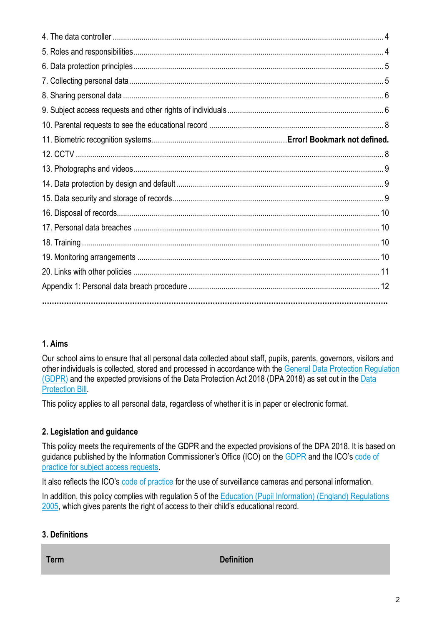## **1. Aims**

Our school aims to ensure that all personal data collected about staff, pupils, parents, governors, visitors and other individuals is collected, stored and processed in accordance with the [General Data Protection Regulation](http://data.consilium.europa.eu/doc/document/ST-5419-2016-INIT/en/pdf)  [\(GDPR\)](http://data.consilium.europa.eu/doc/document/ST-5419-2016-INIT/en/pdf) and the expected provisions of the Data Protection Act 2018 (DPA 2018) as set out in the [Data](https://publications.parliament.uk/pa/bills/cbill/2017-2019/0153/18153.pdf)  [Protection Bill.](https://publications.parliament.uk/pa/bills/cbill/2017-2019/0153/18153.pdf)

This policy applies to all personal data, regardless of whether it is in paper or electronic format.

### **2. Legislation and guidance**

This policy meets the requirements of the GDPR and the expected provisions of the DPA 2018. It is based on guidance published by the Information Commissioner's Office (ICO) on the [GDPR](https://ico.org.uk/for-organisations/guide-to-the-general-data-protection-regulation-gdpr/) and the ICO's code of [practice for subject access requests.](https://ico.org.uk/media/for-organisations/documents/2014223/subject-access-code-of-practice.pdf)

It also reflects the ICO's [code of practice](https://ico.org.uk/media/for-organisations/documents/1542/cctv-code-of-practice.pdf) for the use of surveillance cameras and personal information.

In addition, this policy complies with regulation 5 of the Education (Pupil Information) (England) Regulations [2005,](http://www.legislation.gov.uk/uksi/2005/1437/regulation/5/made) which gives parents the right of access to their child's educational record.

### **3. Definitions**

**Term Definition**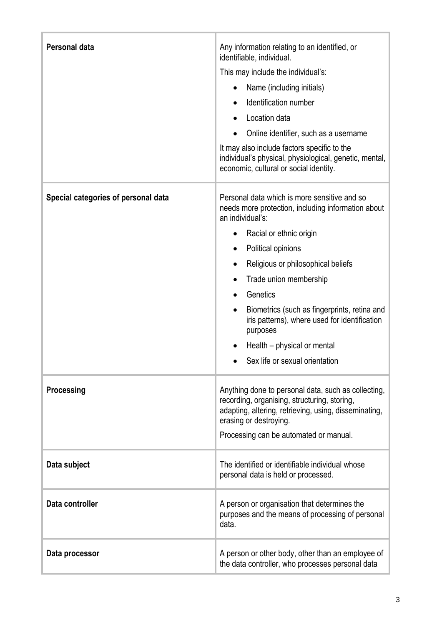| <b>Personal data</b>                | Any information relating to an identified, or<br>identifiable, individual.<br>This may include the individual's:<br>Name (including initials)<br>Identification number<br>Location data<br>Online identifier, such as a username<br>It may also include factors specific to the<br>individual's physical, physiological, genetic, mental,<br>economic, cultural or social identity.                                                                                                                |
|-------------------------------------|----------------------------------------------------------------------------------------------------------------------------------------------------------------------------------------------------------------------------------------------------------------------------------------------------------------------------------------------------------------------------------------------------------------------------------------------------------------------------------------------------|
| Special categories of personal data | Personal data which is more sensitive and so<br>needs more protection, including information about<br>an individual's:<br>Racial or ethnic origin<br>$\bullet$<br>Political opinions<br>$\bullet$<br>Religious or philosophical beliefs<br>$\bullet$<br>Trade union membership<br>Genetics<br>$\bullet$<br>Biometrics (such as fingerprints, retina and<br>$\bullet$<br>iris patterns), where used for identification<br>purposes<br>Health – physical or mental<br>Sex life or sexual orientation |
| Processing                          | Anything done to personal data, such as collecting,<br>recording, organising, structuring, storing,<br>adapting, altering, retrieving, using, disseminating,<br>erasing or destroying.<br>Processing can be automated or manual.                                                                                                                                                                                                                                                                   |
| Data subject                        | The identified or identifiable individual whose<br>personal data is held or processed.                                                                                                                                                                                                                                                                                                                                                                                                             |
| Data controller                     | A person or organisation that determines the<br>purposes and the means of processing of personal<br>data.                                                                                                                                                                                                                                                                                                                                                                                          |
| Data processor                      | A person or other body, other than an employee of<br>the data controller, who processes personal data                                                                                                                                                                                                                                                                                                                                                                                              |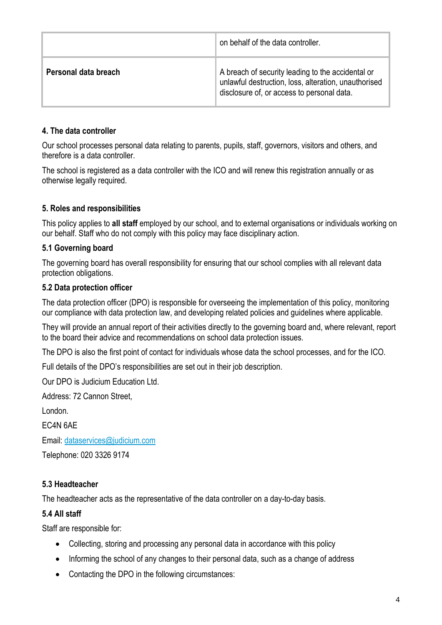|                      | on behalf of the data controller.                                                                                                                       |
|----------------------|---------------------------------------------------------------------------------------------------------------------------------------------------------|
| Personal data breach | A breach of security leading to the accidental or<br>unlawful destruction, loss, alteration, unauthorised<br>disclosure of, or access to personal data. |

### **4. The data controller**

Our school processes personal data relating to parents, pupils, staff, governors, visitors and others, and therefore is a data controller.

The school is registered as a data controller with the ICO and will renew this registration annually or as otherwise legally required.

#### **5. Roles and responsibilities**

This policy applies to **all staff** employed by our school, and to external organisations or individuals working on our behalf. Staff who do not comply with this policy may face disciplinary action.

#### **5.1 Governing board**

The governing board has overall responsibility for ensuring that our school complies with all relevant data protection obligations.

#### **5.2 Data protection officer**

The data protection officer (DPO) is responsible for overseeing the implementation of this policy, monitoring our compliance with data protection law, and developing related policies and guidelines where applicable.

They will provide an annual report of their activities directly to the governing board and, where relevant, report to the board their advice and recommendations on school data protection issues.

The DPO is also the first point of contact for individuals whose data the school processes, and for the ICO.

Full details of the DPO's responsibilities are set out in their job description.

Our DPO is Judicium Education Ltd.

Address: 72 Cannon Street,

London.

EC4N 6AE

Email: [dataservices@judicium.com](mailto:dataservices@judicium.com)

Telephone: 020 3326 9174

#### **5.3 Headteacher**

The headteacher acts as the representative of the data controller on a day-to-day basis.

#### **5.4 All staff**

Staff are responsible for:

- Collecting, storing and processing any personal data in accordance with this policy
- Informing the school of any changes to their personal data, such as a change of address
- Contacting the DPO in the following circumstances: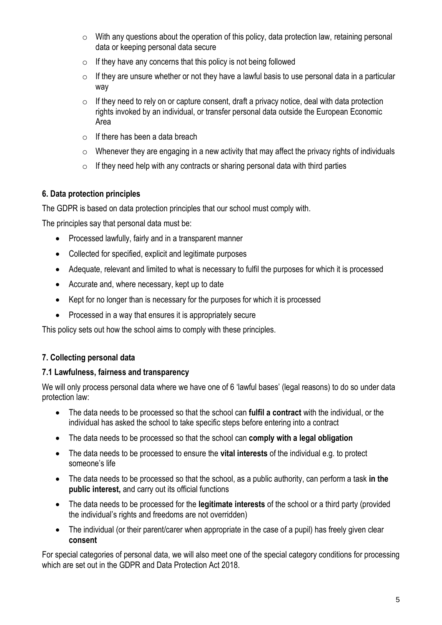- $\circ$  With any questions about the operation of this policy, data protection law, retaining personal data or keeping personal data secure
- $\circ$  If they have any concerns that this policy is not being followed
- $\circ$  If they are unsure whether or not they have a lawful basis to use personal data in a particular way
- $\circ$  If they need to rely on or capture consent, draft a privacy notice, deal with data protection rights invoked by an individual, or transfer personal data outside the European Economic Area
- $\circ$  If there has been a data breach
- $\circ$  Whenever they are engaging in a new activity that may affect the privacy rights of individuals
- $\circ$  If they need help with any contracts or sharing personal data with third parties

### **6. Data protection principles**

The GDPR is based on data protection principles that our school must comply with.

The principles say that personal data must be:

- Processed lawfully, fairly and in a transparent manner
- Collected for specified, explicit and legitimate purposes
- Adequate, relevant and limited to what is necessary to fulfil the purposes for which it is processed
- Accurate and, where necessary, kept up to date
- Kept for no longer than is necessary for the purposes for which it is processed
- Processed in a way that ensures it is appropriately secure

This policy sets out how the school aims to comply with these principles.

### **7. Collecting personal data**

#### **7.1 Lawfulness, fairness and transparency**

We will only process personal data where we have one of 6 'lawful bases' (legal reasons) to do so under data protection law:

- The data needs to be processed so that the school can **fulfil a contract** with the individual, or the individual has asked the school to take specific steps before entering into a contract
- The data needs to be processed so that the school can **comply with a legal obligation**
- The data needs to be processed to ensure the **vital interests** of the individual e.g. to protect someone's life
- The data needs to be processed so that the school, as a public authority, can perform a task **in the public interest,** and carry out its official functions
- The data needs to be processed for the **legitimate interests** of the school or a third party (provided the individual's rights and freedoms are not overridden)
- The individual (or their parent/carer when appropriate in the case of a pupil) has freely given clear **consent**

For special categories of personal data, we will also meet one of the special category conditions for processing which are set out in the GDPR and Data Protection Act 2018.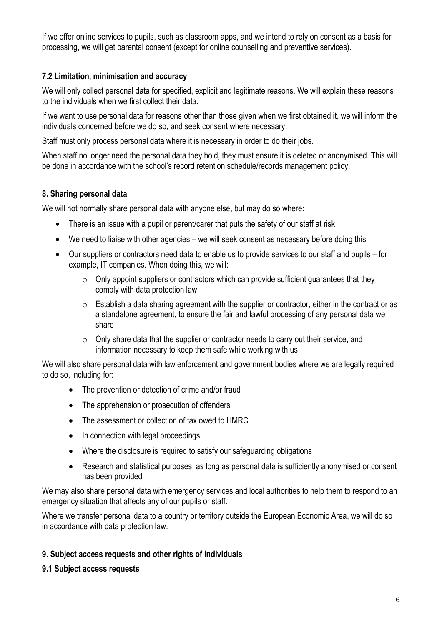If we offer online services to pupils, such as classroom apps, and we intend to rely on consent as a basis for processing, we will get parental consent (except for online counselling and preventive services).

### **7.2 Limitation, minimisation and accuracy**

We will only collect personal data for specified, explicit and legitimate reasons. We will explain these reasons to the individuals when we first collect their data.

If we want to use personal data for reasons other than those given when we first obtained it, we will inform the individuals concerned before we do so, and seek consent where necessary.

Staff must only process personal data where it is necessary in order to do their jobs.

When staff no longer need the personal data they hold, they must ensure it is deleted or anonymised. This will be done in accordance with the school's record retention schedule/records management policy.

### **8. Sharing personal data**

We will not normally share personal data with anyone else, but may do so where:

- There is an issue with a pupil or parent/carer that puts the safety of our staff at risk
- We need to liaise with other agencies we will seek consent as necessary before doing this
- Our suppliers or contractors need data to enable us to provide services to our staff and pupils for example, IT companies. When doing this, we will:
	- $\circ$  Only appoint suppliers or contractors which can provide sufficient guarantees that they comply with data protection law
	- $\circ$  Establish a data sharing agreement with the supplier or contractor, either in the contract or as a standalone agreement, to ensure the fair and lawful processing of any personal data we share
	- $\circ$  Only share data that the supplier or contractor needs to carry out their service, and information necessary to keep them safe while working with us

We will also share personal data with law enforcement and government bodies where we are legally required to do so, including for:

- The prevention or detection of crime and/or fraud
- The apprehension or prosecution of offenders
- The assessment or collection of tax owed to HMRC
- In connection with legal proceedings
- Where the disclosure is required to satisfy our safeguarding obligations
- Research and statistical purposes, as long as personal data is sufficiently anonymised or consent has been provided

We may also share personal data with emergency services and local authorities to help them to respond to an emergency situation that affects any of our pupils or staff.

Where we transfer personal data to a country or territory outside the European Economic Area, we will do so in accordance with data protection law.

### **9. Subject access requests and other rights of individuals**

#### **9.1 Subject access requests**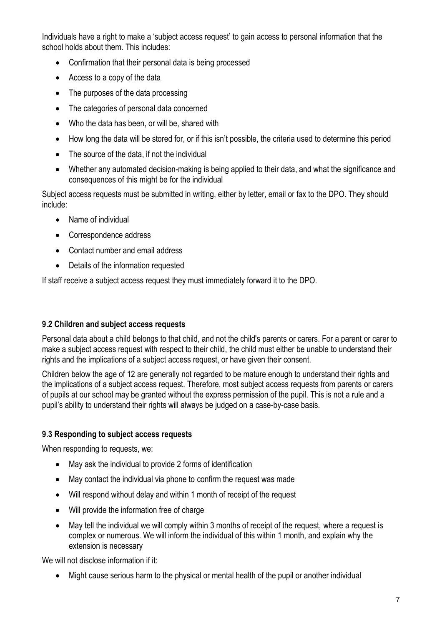Individuals have a right to make a 'subject access request' to gain access to personal information that the school holds about them. This includes:

- Confirmation that their personal data is being processed
- Access to a copy of the data
- The purposes of the data processing
- The categories of personal data concerned
- Who the data has been, or will be, shared with
- How long the data will be stored for, or if this isn't possible, the criteria used to determine this period
- The source of the data, if not the individual
- Whether any automated decision-making is being applied to their data, and what the significance and consequences of this might be for the individual

Subject access requests must be submitted in writing, either by letter, email or fax to the DPO. They should include:

- Name of individual
- Correspondence address
- Contact number and email address
- Details of the information requested

If staff receive a subject access request they must immediately forward it to the DPO.

#### **9.2 Children and subject access requests**

Personal data about a child belongs to that child, and not the child's parents or carers. For a parent or carer to make a subject access request with respect to their child, the child must either be unable to understand their rights and the implications of a subject access request, or have given their consent.

Children below the age of 12 are generally not regarded to be mature enough to understand their rights and the implications of a subject access request. Therefore, most subject access requests from parents or carers of pupils at our school may be granted without the express permission of the pupil. This is not a rule and a pupil's ability to understand their rights will always be judged on a case-by-case basis.

#### **9.3 Responding to subject access requests**

When responding to requests, we:

- May ask the individual to provide 2 forms of identification
- May contact the individual via phone to confirm the request was made
- Will respond without delay and within 1 month of receipt of the request
- Will provide the information free of charge
- May tell the individual we will comply within 3 months of receipt of the request, where a request is complex or numerous. We will inform the individual of this within 1 month, and explain why the extension is necessary

We will not disclose information if it:

• Might cause serious harm to the physical or mental health of the pupil or another individual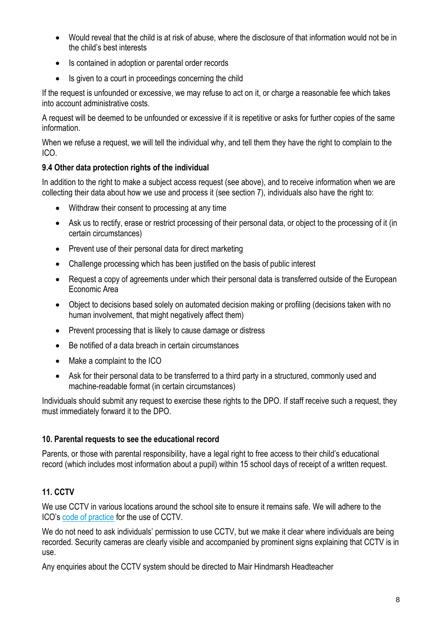- Would reveal that the child is at risk of abuse, where the disclosure of that information would not be in the child's best interests
- Is contained in adoption or parental order records
- Is given to a court in proceedings concerning the child

If the request is unfounded or excessive, we may refuse to act on it, or charge a reasonable fee which takes into account administrative costs.

A request will be deemed to be unfounded or excessive if it is repetitive or asks for further copies of the same information.

When we refuse a request, we will tell the individual why, and tell them they have the right to complain to the ICO.

### **9.4 Other data protection rights of the individual**

In addition to the right to make a subject access request (see above), and to receive information when we are collecting their data about how we use and process it (see section 7), individuals also have the right to:

- Withdraw their consent to processing at any time
- Ask us to rectify, erase or restrict processing of their personal data, or object to the processing of it (in certain circumstances)
- Prevent use of their personal data for direct marketing
- Challenge processing which has been justified on the basis of public interest
- Request a copy of agreements under which their personal data is transferred outside of the European Economic Area
- Object to decisions based solely on automated decision making or profiling (decisions taken with no human involvement, that might negatively affect them)
- Prevent processing that is likely to cause damage or distress
- Be notified of a data breach in certain circumstances
- Make a complaint to the ICO
- Ask for their personal data to be transferred to a third party in a structured, commonly used and machine-readable format (in certain circumstances)

Individuals should submit any request to exercise these rights to the DPO. If staff receive such a request, they must immediately forward it to the DPO.

### **10. Parental requests to see the educational record**

Parents, or those with parental responsibility, have a legal right to free access to their child's educational record (which includes most information about a pupil) within 15 school days of receipt of a written request.

## **11. CCTV**

We use CCTV in various locations around the school site to ensure it remains safe. We will adhere to the ICO's [code of practice](https://ico.org.uk/media/for-organisations/documents/1542/cctv-code-of-practice.pdf) for the use of CCTV.

We do not need to ask individuals' permission to use CCTV, but we make it clear where individuals are being recorded. Security cameras are clearly visible and accompanied by prominent signs explaining that CCTV is in use.

Any enquiries about the CCTV system should be directed to Mair Hindmarsh Headteacher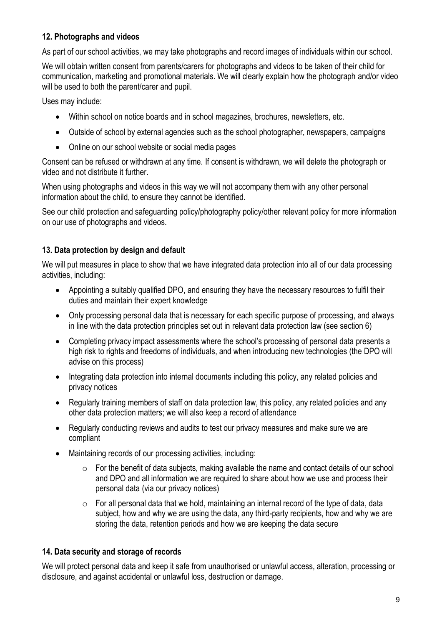### **12. Photographs and videos**

As part of our school activities, we may take photographs and record images of individuals within our school.

We will obtain written consent from parents/carers for photographs and videos to be taken of their child for communication, marketing and promotional materials. We will clearly explain how the photograph and/or video will be used to both the parent/carer and pupil.

Uses may include:

- Within school on notice boards and in school magazines, brochures, newsletters, etc.
- Outside of school by external agencies such as the school photographer, newspapers, campaigns
- Online on our school website or social media pages

Consent can be refused or withdrawn at any time. If consent is withdrawn, we will delete the photograph or video and not distribute it further.

When using photographs and videos in this way we will not accompany them with any other personal information about the child, to ensure they cannot be identified.

See our child protection and safeguarding policy/photography policy/other relevant policy for more information on our use of photographs and videos.

### **13. Data protection by design and default**

We will put measures in place to show that we have integrated data protection into all of our data processing activities, including:

- Appointing a suitably qualified DPO, and ensuring they have the necessary resources to fulfil their duties and maintain their expert knowledge
- Only processing personal data that is necessary for each specific purpose of processing, and always in line with the data protection principles set out in relevant data protection law (see section 6)
- Completing privacy impact assessments where the school's processing of personal data presents a high risk to rights and freedoms of individuals, and when introducing new technologies (the DPO will advise on this process)
- Integrating data protection into internal documents including this policy, any related policies and privacy notices
- Regularly training members of staff on data protection law, this policy, any related policies and any other data protection matters; we will also keep a record of attendance
- Regularly conducting reviews and audits to test our privacy measures and make sure we are compliant
- Maintaining records of our processing activities, including:
	- $\circ$  For the benefit of data subjects, making available the name and contact details of our school and DPO and all information we are required to share about how we use and process their personal data (via our privacy notices)
	- $\circ$  For all personal data that we hold, maintaining an internal record of the type of data, data subject, how and why we are using the data, any third-party recipients, how and why we are storing the data, retention periods and how we are keeping the data secure

### **14. Data security and storage of records**

We will protect personal data and keep it safe from unauthorised or unlawful access, alteration, processing or disclosure, and against accidental or unlawful loss, destruction or damage.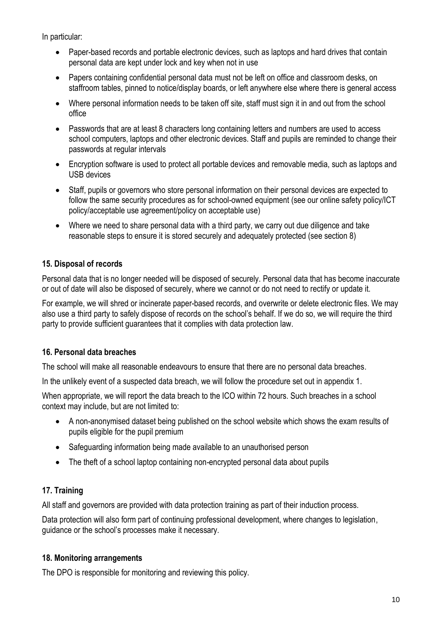In particular:

- Paper-based records and portable electronic devices, such as laptops and hard drives that contain personal data are kept under lock and key when not in use
- Papers containing confidential personal data must not be left on office and classroom desks, on staffroom tables, pinned to notice/display boards, or left anywhere else where there is general access
- Where personal information needs to be taken off site, staff must sign it in and out from the school office
- Passwords that are at least 8 characters long containing letters and numbers are used to access school computers, laptops and other electronic devices. Staff and pupils are reminded to change their passwords at regular intervals
- Encryption software is used to protect all portable devices and removable media, such as laptops and USB devices
- Staff, pupils or governors who store personal information on their personal devices are expected to follow the same security procedures as for school-owned equipment (see our online safety policy/ICT policy/acceptable use agreement/policy on acceptable use)
- Where we need to share personal data with a third party, we carry out due diligence and take reasonable steps to ensure it is stored securely and adequately protected (see section 8)

### **15. Disposal of records**

Personal data that is no longer needed will be disposed of securely. Personal data that has become inaccurate or out of date will also be disposed of securely, where we cannot or do not need to rectify or update it.

For example, we will shred or incinerate paper-based records, and overwrite or delete electronic files. We may also use a third party to safely dispose of records on the school's behalf. If we do so, we will require the third party to provide sufficient guarantees that it complies with data protection law.

### **16. Personal data breaches**

The school will make all reasonable endeavours to ensure that there are no personal data breaches.

In the unlikely event of a suspected data breach, we will follow the procedure set out in appendix 1.

When appropriate, we will report the data breach to the ICO within 72 hours. Such breaches in a school context may include, but are not limited to:

- A non-anonymised dataset being published on the school website which shows the exam results of pupils eligible for the pupil premium
- Safeguarding information being made available to an unauthorised person
- The theft of a school laptop containing non-encrypted personal data about pupils

# **17. Training**

All staff and governors are provided with data protection training as part of their induction process.

Data protection will also form part of continuing professional development, where changes to legislation, guidance or the school's processes make it necessary.

### **18. Monitoring arrangements**

The DPO is responsible for monitoring and reviewing this policy.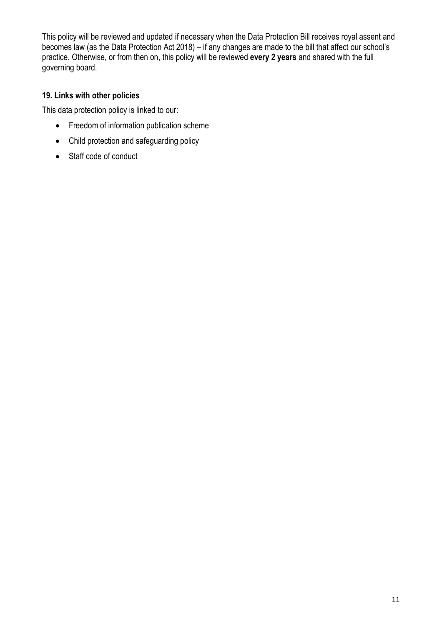This policy will be reviewed and updated if necessary when the Data Protection Bill receives royal assent and becomes law (as the Data Protection Act 2018) – if any changes are made to the bill that affect our school's practice. Otherwise, or from then on, this policy will be reviewed **every 2 years** and shared with the full governing board.

# **19. Links with other policies**

This data protection policy is linked to our:

- Freedom of information publication scheme
- Child protection and safeguarding policy
- Staff code of conduct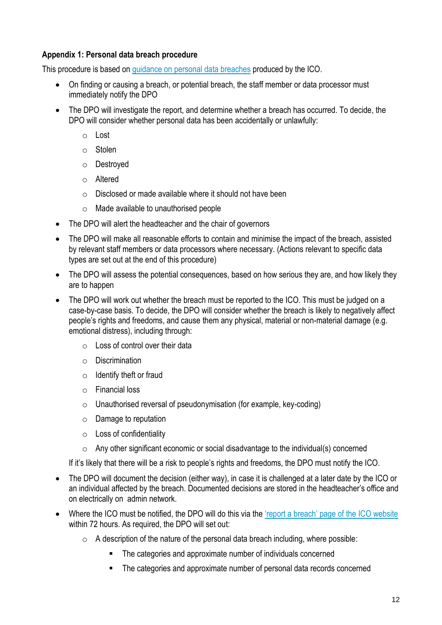### **Appendix 1: Personal data breach procedure**

This procedure is based on [guidance on personal data breaches](https://ico.org.uk/for-organisations/guide-to-the-general-data-protection-regulation-gdpr/personal-data-breaches/) produced by the ICO.

- On finding or causing a breach, or potential breach, the staff member or data processor must immediately notify the DPO
- The DPO will investigate the report, and determine whether a breach has occurred. To decide, the DPO will consider whether personal data has been accidentally or unlawfully:
	- o Lost
	- o Stolen
	- o Destroyed
	- o Altered
	- o Disclosed or made available where it should not have been
	- o Made available to unauthorised people
- The DPO will alert the headteacher and the chair of governors
- The DPO will make all reasonable efforts to contain and minimise the impact of the breach, assisted by relevant staff members or data processors where necessary. (Actions relevant to specific data types are set out at the end of this procedure)
- The DPO will assess the potential consequences, based on how serious they are, and how likely they are to happen
- The DPO will work out whether the breach must be reported to the ICO. This must be judged on a case-by-case basis. To decide, the DPO will consider whether the breach is likely to negatively affect people's rights and freedoms, and cause them any physical, material or non-material damage (e.g. emotional distress), including through:
	- $\circ$  Loss of control over their data
	- o Discrimination
	- $\circ$  Identify theft or fraud
	- o Financial loss
	- $\circ$  Unauthorised reversal of pseudonymisation (for example, key-coding)
	- $\circ$  Damage to reputation
	- o Loss of confidentiality
	- $\circ$  Any other significant economic or social disadvantage to the individual(s) concerned

If it's likely that there will be a risk to people's rights and freedoms, the DPO must notify the ICO.

- The DPO will document the decision (either way), in case it is challenged at a later date by the ICO or an individual affected by the breach. Documented decisions are stored in the headteacher's office and on electrically on admin network.
- Where the ICO must be notified, the DPO will do this via the ['report a breach' page of the](https://ico.org.uk/for-organisations/report-a-breach/) ICO website within 72 hours. As required, the DPO will set out:
	- $\circ$  A description of the nature of the personal data breach including, where possible:
		- The categories and approximate number of individuals concerned
		- The categories and approximate number of personal data records concerned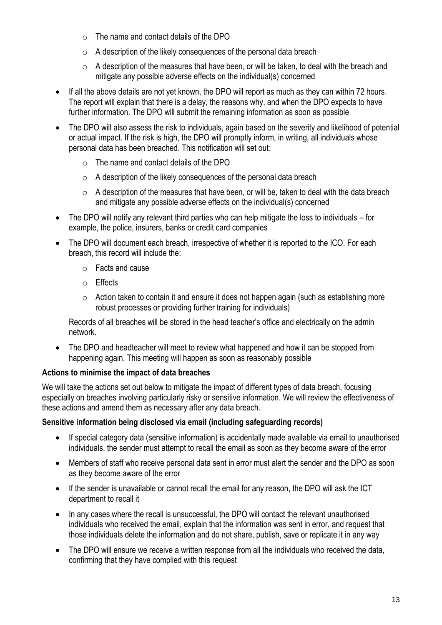- o The name and contact details of the DPO
- $\circ$  A description of the likely consequences of the personal data breach
- $\circ$  A description of the measures that have been, or will be taken, to deal with the breach and mitigate any possible adverse effects on the individual(s) concerned
- If all the above details are not yet known, the DPO will report as much as they can within 72 hours. The report will explain that there is a delay, the reasons why, and when the DPO expects to have further information. The DPO will submit the remaining information as soon as possible
- The DPO will also assess the risk to individuals, again based on the severity and likelihood of potential or actual impact. If the risk is high, the DPO will promptly inform, in writing, all individuals whose personal data has been breached. This notification will set out:
	- o The name and contact details of the DPO
	- o A description of the likely consequences of the personal data breach
	- $\circ$  A description of the measures that have been, or will be, taken to deal with the data breach and mitigate any possible adverse effects on the individual(s) concerned
- The DPO will notify any relevant third parties who can help mitigate the loss to individuals for example, the police, insurers, banks or credit card companies
- The DPO will document each breach, irrespective of whether it is reported to the ICO. For each breach, this record will include the:
	- o Facts and cause
	- o Effects
	- $\circ$  Action taken to contain it and ensure it does not happen again (such as establishing more robust processes or providing further training for individuals)

Records of all breaches will be stored in the head teacher's office and electrically on the admin network.

• The DPO and headteacher will meet to review what happened and how it can be stopped from happening again. This meeting will happen as soon as reasonably possible

### **Actions to minimise the impact of data breaches**

We will take the actions set out below to mitigate the impact of different types of data breach, focusing especially on breaches involving particularly risky or sensitive information. We will review the effectiveness of these actions and amend them as necessary after any data breach.

### **Sensitive information being disclosed via email (including safeguarding records)**

- If special category data (sensitive information) is accidentally made available via email to unauthorised individuals, the sender must attempt to recall the email as soon as they become aware of the error
- Members of staff who receive personal data sent in error must alert the sender and the DPO as soon as they become aware of the error
- If the sender is unavailable or cannot recall the email for any reason, the DPO will ask the ICT department to recall it
- In any cases where the recall is unsuccessful, the DPO will contact the relevant unauthorised individuals who received the email, explain that the information was sent in error, and request that those individuals delete the information and do not share, publish, save or replicate it in any way
- The DPO will ensure we receive a written response from all the individuals who received the data, confirming that they have complied with this request